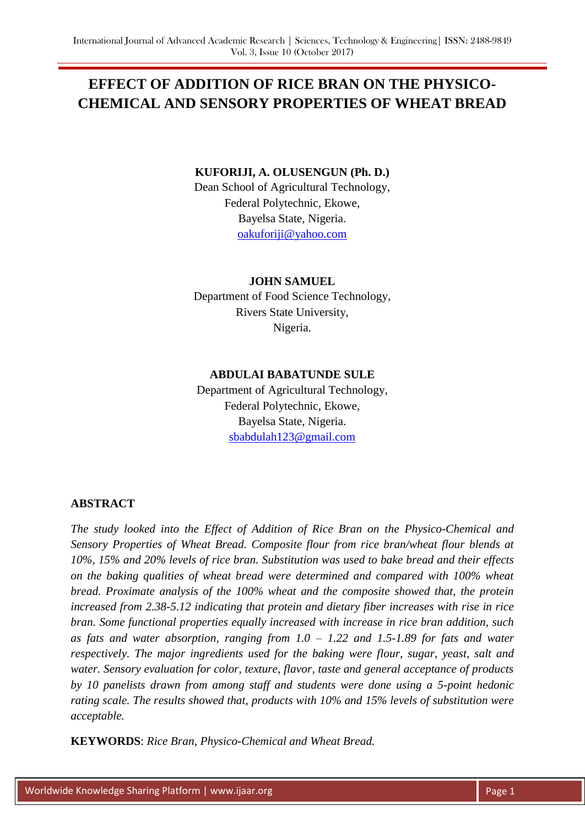# **EFFECT OF ADDITION OF RICE BRAN ON THE PHYSICO-CHEMICAL AND SENSORY PROPERTIES OF WHEAT BREAD**

#### **KUFORIJI, A. OLUSENGUN (Ph. D.)**

Dean School of Agricultural Technology, Federal Polytechnic, Ekowe, Bayelsa State, Nigeria. [oakuforiji@yahoo.com](mailto:oakuforiji@yahoo.com)

### **JOHN SAMUEL**

Department of Food Science Technology, Rivers State University, Nigeria.

### **ABDULAI BABATUNDE SULE**

Department of Agricultural Technology, Federal Polytechnic, Ekowe, Bayelsa State, Nigeria. [sbabdulah123@gmail.com](mailto:sbabdulah123@gmail.com)

# **ABSTRACT**

*The study looked into the Effect of Addition of Rice Bran on the Physico-Chemical and Sensory Properties of Wheat Bread. Composite flour from rice bran/wheat flour blends at 10%, 15% and 20% levels of rice bran. Substitution was used to bake bread and their effects on the baking qualities of wheat bread were determined and compared with 100% wheat bread. Proximate analysis of the 100% wheat and the composite showed that, the protein increased from 2.38-5.12 indicating that protein and dietary fiber increases with rise in rice bran. Some functional properties equally increased with increase in rice bran addition, such as fats and water absorption, ranging from 1.0 – 1.22 and 1.5-1.89 for fats and water respectively. The major ingredients used for the baking were flour, sugar, yeast, salt and water. Sensory evaluation for color, texture, flavor, taste and general acceptance of products by 10 panelists drawn from among staff and students were done using a 5-point hedonic rating scale. The results showed that, products with 10% and 15% levels of substitution were acceptable.*

**KEYWORDS**: *Rice Bran, Physico-Chemical and Wheat Bread.*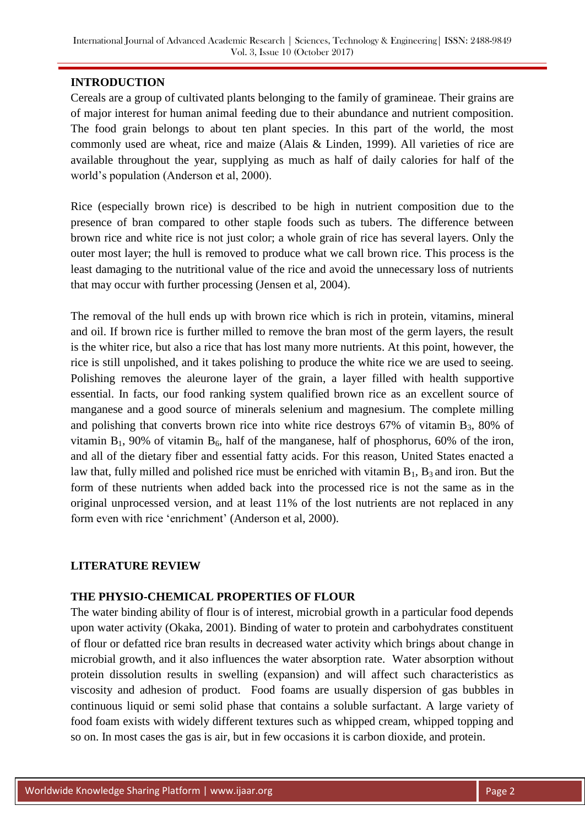## **INTRODUCTION**

Cereals are a group of cultivated plants belonging to the family of gramineae. Their grains are of major interest for human animal feeding due to their abundance and nutrient composition. The food grain belongs to about ten plant species. In this part of the world, the most commonly used are wheat, rice and maize (Alais & Linden, 1999). All varieties of rice are available throughout the year, supplying as much as half of daily calories for half of the world's population (Anderson et al, 2000).

Rice (especially brown rice) is described to be high in nutrient composition due to the presence of bran compared to other staple foods such as tubers. The difference between brown rice and white rice is not just color; a whole grain of rice has several layers. Only the outer most layer; the hull is removed to produce what we call brown rice. This process is the least damaging to the nutritional value of the rice and avoid the unnecessary loss of nutrients that may occur with further processing (Jensen et al, 2004).

The removal of the hull ends up with brown rice which is rich in protein, vitamins, mineral and oil. If brown rice is further milled to remove the bran most of the germ layers, the result is the whiter rice, but also a rice that has lost many more nutrients. At this point, however, the rice is still unpolished, and it takes polishing to produce the white rice we are used to seeing. Polishing removes the aleurone layer of the grain, a layer filled with health supportive essential. In facts, our food ranking system qualified brown rice as an excellent source of manganese and a good source of minerals selenium and magnesium. The complete milling and polishing that converts brown rice into white rice destroys  $67\%$  of vitamin B<sub>3</sub>, 80% of vitamin  $B_1$ , 90% of vitamin  $B_6$ , half of the manganese, half of phosphorus, 60% of the iron, and all of the dietary fiber and essential fatty acids. For this reason, United States enacted a law that, fully milled and polished rice must be enriched with vitamin  $B_1$ ,  $B_3$  and iron. But the form of these nutrients when added back into the processed rice is not the same as in the original unprocessed version, and at least 11% of the lost nutrients are not replaced in any form even with rice 'enrichment' (Anderson et al, 2000).

# **LITERATURE REVIEW**

# **THE PHYSIO-CHEMICAL PROPERTIES OF FLOUR**

The water binding ability of flour is of interest, microbial growth in a particular food depends upon water activity (Okaka, 2001). Binding of water to protein and carbohydrates constituent of flour or defatted rice bran results in decreased water activity which brings about change in microbial growth, and it also influences the water absorption rate. Water absorption without protein dissolution results in swelling (expansion) and will affect such characteristics as viscosity and adhesion of product. Food foams are usually dispersion of gas bubbles in continuous liquid or semi solid phase that contains a soluble surfactant. A large variety of food foam exists with widely different textures such as whipped cream, whipped topping and so on. In most cases the gas is air, but in few occasions it is carbon dioxide, and protein.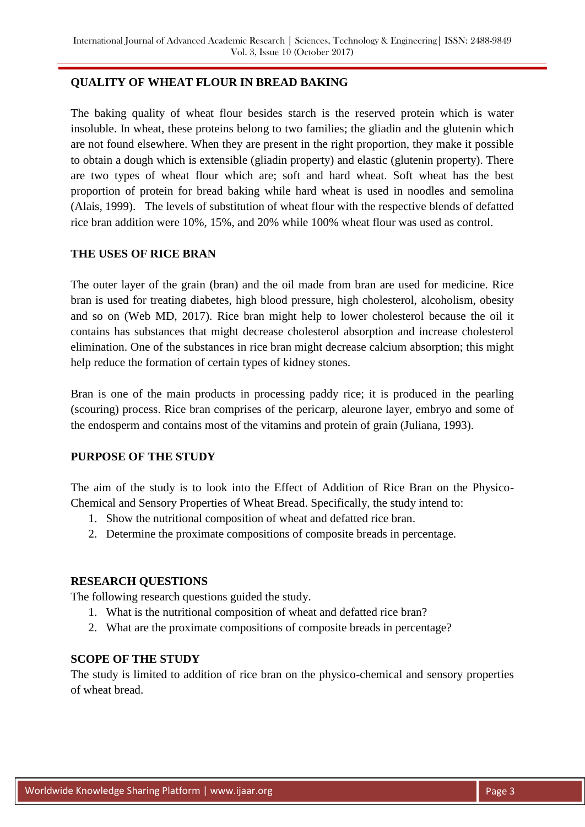## **QUALITY OF WHEAT FLOUR IN BREAD BAKING**

The baking quality of wheat flour besides starch is the reserved protein which is water insoluble. In wheat, these proteins belong to two families; the gliadin and the glutenin which are not found elsewhere. When they are present in the right proportion, they make it possible to obtain a dough which is extensible (gliadin property) and elastic (glutenin property). There are two types of wheat flour which are; soft and hard wheat. Soft wheat has the best proportion of protein for bread baking while hard wheat is used in noodles and semolina (Alais, 1999). The levels of substitution of wheat flour with the respective blends of defatted rice bran addition were 10%, 15%, and 20% while 100% wheat flour was used as control.

#### **THE USES OF RICE BRAN**

The outer layer of the grain (bran) and the oil made from bran are used for medicine. Rice bran is used for treating diabetes, high blood pressure, high cholesterol, alcoholism, obesity and so on (Web MD, 2017). Rice bran might help to lower cholesterol because the oil it contains has substances that might decrease cholesterol absorption and increase cholesterol elimination. One of the substances in rice bran might decrease calcium absorption; this might help reduce the formation of certain types of kidney stones.

Bran is one of the main products in processing paddy rice; it is produced in the pearling (scouring) process. Rice bran comprises of the pericarp, aleurone layer, embryo and some of the endosperm and contains most of the vitamins and protein of grain (Juliana, 1993).

# **PURPOSE OF THE STUDY**

The aim of the study is to look into the Effect of Addition of Rice Bran on the Physico-Chemical and Sensory Properties of Wheat Bread. Specifically, the study intend to:

- 1. Show the nutritional composition of wheat and defatted rice bran.
- 2. Determine the proximate compositions of composite breads in percentage.

#### **RESEARCH QUESTIONS**

The following research questions guided the study.

- 1. What is the nutritional composition of wheat and defatted rice bran?
- 2. What are the proximate compositions of composite breads in percentage?

#### **SCOPE OF THE STUDY**

The study is limited to addition of rice bran on the physico-chemical and sensory properties of wheat bread.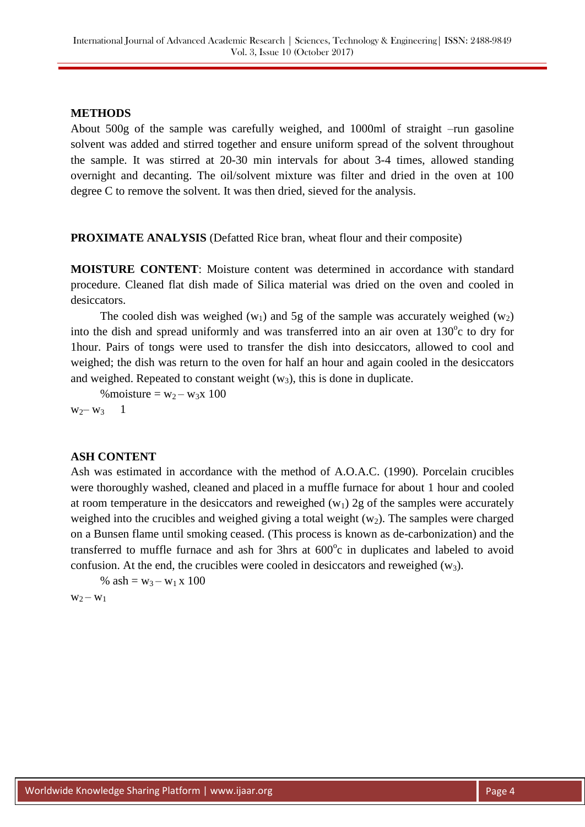## **METHODS**

About 500g of the sample was carefully weighed, and 1000ml of straight –run gasoline solvent was added and stirred together and ensure uniform spread of the solvent throughout the sample. It was stirred at 20-30 min intervals for about 3-4 times, allowed standing overnight and decanting. The oil/solvent mixture was filter and dried in the oven at 100 degree C to remove the solvent. It was then dried, sieved for the analysis.

**PROXIMATE ANALYSIS** (Defatted Rice bran, wheat flour and their composite)

**MOISTURE CONTENT**: Moisture content was determined in accordance with standard procedure. Cleaned flat dish made of Silica material was dried on the oven and cooled in desiccators.

The cooled dish was weighed  $(w_1)$  and 5g of the sample was accurately weighed  $(w_2)$ into the dish and spread uniformly and was transferred into an air oven at 130°c to dry for 1hour. Pairs of tongs were used to transfer the dish into desiccators, allowed to cool and weighed; the dish was return to the oven for half an hour and again cooled in the desiccators and weighed. Repeated to constant weight  $(w_3)$ , this is done in duplicate.

% moisture =  $w_2 - w_3x$  100  $w_2-w_3$  1

#### **ASH CONTENT**

Ash was estimated in accordance with the method of A.O.A.C. (1990). Porcelain crucibles were thoroughly washed, cleaned and placed in a muffle furnace for about 1 hour and cooled at room temperature in the desiccators and reweighed  $(w_1)$  2g of the samples were accurately weighed into the crucibles and weighed giving a total weight  $(w_2)$ . The samples were charged on a Bunsen flame until smoking ceased. (This process is known as de-carbonization) and the transferred to muffle furnace and ash for 3hrs at  $600^{\circ}$ c in duplicates and labeled to avoid confusion. At the end, the crucibles were cooled in desiccators and reweighed  $(w_3)$ .

% ash =  $w_3 - w_1 x 100$ 

 $W_2 - W_1$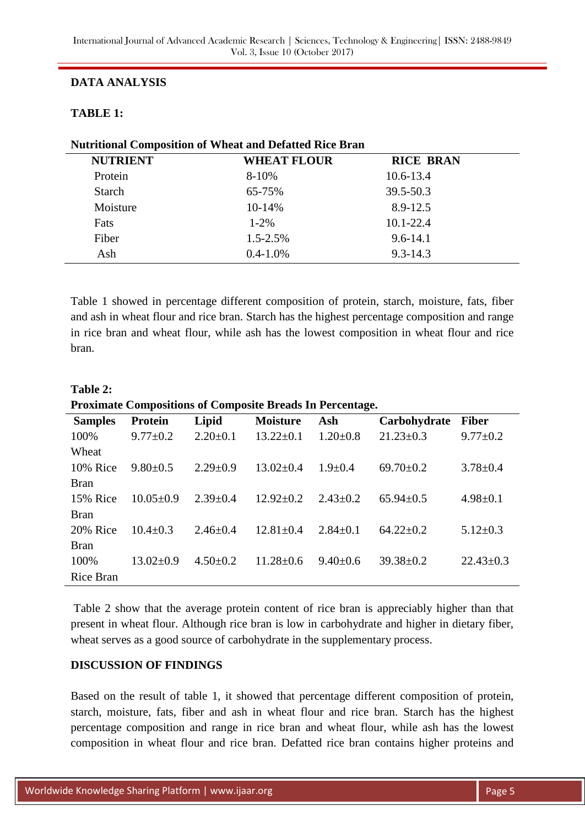# **DATA ANALYSIS**

# **TABLE 1:**

| <b>Nutritional Composition of Wheat and Defatted Rice Bran</b> |                    |                  |  |  |  |  |  |
|----------------------------------------------------------------|--------------------|------------------|--|--|--|--|--|
| <b>NUTRIENT</b>                                                | <b>WHEAT FLOUR</b> | <b>RICE BRAN</b> |  |  |  |  |  |
| Protein                                                        | $8 - 10%$          | $10.6 - 13.4$    |  |  |  |  |  |
| <b>Starch</b>                                                  | 65-75%             | 39.5-50.3        |  |  |  |  |  |
| Moisture                                                       | 10-14%             | 8.9-12.5         |  |  |  |  |  |
| Fats                                                           | $1 - 2\%$          | $10.1 - 22.4$    |  |  |  |  |  |
| Fiber                                                          | $1.5 - 2.5\%$      | $9.6 - 14.1$     |  |  |  |  |  |
| Ash                                                            | $0.4 - 1.0\%$      | $9.3 - 14.3$     |  |  |  |  |  |

Table 1 showed in percentage different composition of protein, starch, moisture, fats, fiber and ash in wheat flour and rice bran. Starch has the highest percentage composition and range in rice bran and wheat flour, while ash has the lowest composition in wheat flour and rice bran.

| Table 2:                                                         |  |
|------------------------------------------------------------------|--|
| <b>Proximate Compositions of Composite Breads In Percentage.</b> |  |

| <b>Samples</b>   | Protein         | Lipid          | <b>Moisture</b> | Ash            | Carbohydrate    | <b>Fiber</b>    |
|------------------|-----------------|----------------|-----------------|----------------|-----------------|-----------------|
| 100%             | $9.77 \pm 0.2$  | $2.20 \pm 0.1$ | $13.22 \pm 0.1$ | $1.20 \pm 0.8$ | $21.23 \pm 0.3$ | $9.77 \pm 0.2$  |
| Wheat            |                 |                |                 |                |                 |                 |
| 10% Rice         | $9.80 \pm 0.5$  | $2.29 \pm 0.9$ | $13.02 \pm 0.4$ | $1.9 + 0.4$    | $69.70 \pm 0.2$ | $3.78 \pm 0.4$  |
| <b>Bran</b>      |                 |                |                 |                |                 |                 |
| 15% Rice         | $10.05 \pm 0.9$ | $2.39 \pm 0.4$ | $12.92 \pm 0.2$ | $2.43 \pm 0.2$ | $65.94 \pm 0.5$ | $4.98 \pm 0.1$  |
| <b>Bran</b>      |                 |                |                 |                |                 |                 |
| 20% Rice         | $10.4 + 0.3$    | $2.46 \pm 0.4$ | $12.81 \pm 0.4$ | $2.84+0.1$     | $64.22+0.2$     | $5.12 \pm 0.3$  |
| <b>Bran</b>      |                 |                |                 |                |                 |                 |
| 100%             | $13.02 \pm 0.9$ | $4.50 \pm 0.2$ | $11.28 \pm 0.6$ | $9.40 \pm 0.6$ | $39.38 \pm 0.2$ | $22.43 \pm 0.3$ |
| <b>Rice Bran</b> |                 |                |                 |                |                 |                 |

Table 2 show that the average protein content of rice bran is appreciably higher than that present in wheat flour. Although rice bran is low in carbohydrate and higher in dietary fiber, wheat serves as a good source of carbohydrate in the supplementary process.

# **DISCUSSION OF FINDINGS**

Based on the result of table 1, it showed that percentage different composition of protein, starch, moisture, fats, fiber and ash in wheat flour and rice bran. Starch has the highest percentage composition and range in rice bran and wheat flour, while ash has the lowest composition in wheat flour and rice bran. Defatted rice bran contains higher proteins and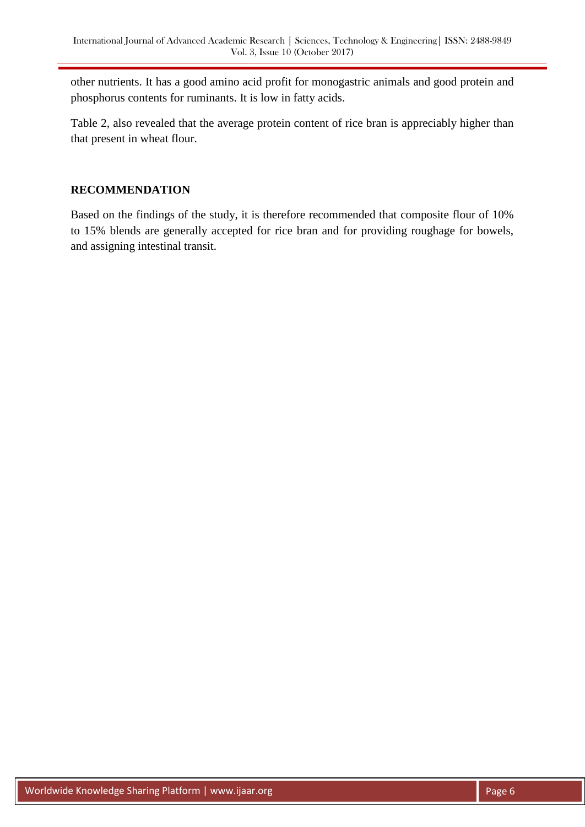other nutrients. It has a good amino acid profit for monogastric animals and good protein and phosphorus contents for ruminants. It is low in fatty acids.

Table 2, also revealed that the average protein content of rice bran is appreciably higher than that present in wheat flour.

## **RECOMMENDATION**

Based on the findings of the study, it is therefore recommended that composite flour of 10% to 15% blends are generally accepted for rice bran and for providing roughage for bowels, and assigning intestinal transit.